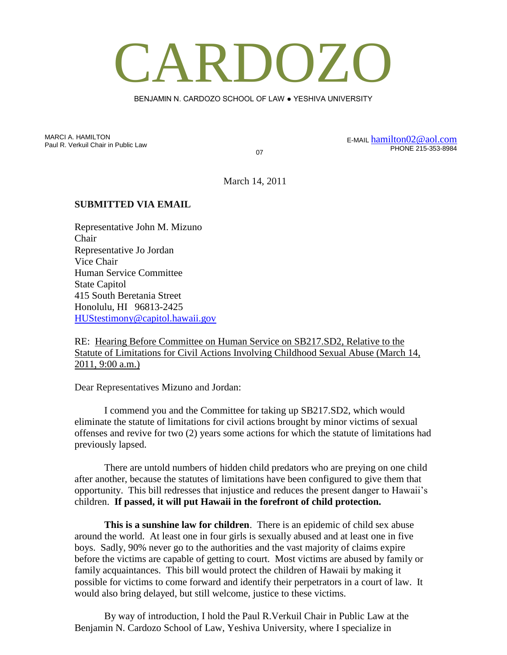## CARDOZO

BENJAMIN N. CARDOZO SCHOOL OF LAW ● YESHIVA UNIVERSITY

MARCI A. HAMILTON Paul R. Verkuil Chair in Public Law

07

E-MAIL [hamilton02@aol.com](mailto:hamilton02@aol.com) PHONE 215-353-8984

March 14, 2011

## **SUBMITTED VIA EMAIL**

Representative John M. Mizuno Chair Representative Jo Jordan Vice Chair Human Service Committee State Capitol 415 South Beretania Street Honolulu, HI 96813-2425 [HUStestimony@capitol.hawaii.gov](mailto:HUStestimony@capitol.hawaii.gov)

RE: Hearing Before Committee on Human Service on SB217.SD2, Relative to the Statute of Limitations for Civil Actions Involving Childhood Sexual Abuse (March 14, 2011, 9:00 a.m.)

Dear Representatives Mizuno and Jordan:

I commend you and the Committee for taking up SB217.SD2, which would eliminate the statute of limitations for civil actions brought by minor victims of sexual offenses and revive for two (2) years some actions for which the statute of limitations had previously lapsed.

There are untold numbers of hidden child predators who are preying on one child after another, because the statutes of limitations have been configured to give them that opportunity. This bill redresses that injustice and reduces the present danger to Hawaii's children. **If passed, it will put Hawaii in the forefront of child protection.**

**This is a sunshine law for children**. There is an epidemic of child sex abuse around the world. At least one in four girls is sexually abused and at least one in five boys. Sadly, 90% never go to the authorities and the vast majority of claims expire before the victims are capable of getting to court. Most victims are abused by family or family acquaintances. This bill would protect the children of Hawaii by making it possible for victims to come forward and identify their perpetrators in a court of law. It would also bring delayed, but still welcome, justice to these victims.

By way of introduction, I hold the Paul R.Verkuil Chair in Public Law at the Benjamin N. Cardozo School of Law, Yeshiva University, where I specialize in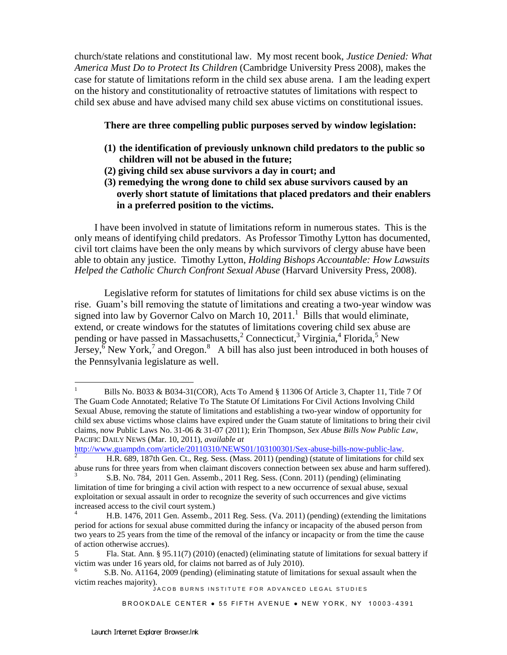church/state relations and constitutional law. My most recent book, *Justice Denied: What America Must Do to Protect Its Children* (Cambridge University Press 2008), makes the case for statute of limitations reform in the child sex abuse arena. I am the leading expert on the history and constitutionality of retroactive statutes of limitations with respect to child sex abuse and have advised many child sex abuse victims on constitutional issues.

## **There are three compelling public purposes served by window legislation:**

- **(1) the identification of previously unknown child predators to the public so children will not be abused in the future;**
- **(2) giving child sex abuse survivors a day in court; and**
- **(3) remedying the wrong done to child sex abuse survivors caused by an overly short statute of limitations that placed predators and their enablers in a preferred position to the victims.**

 I have been involved in statute of limitations reform in numerous states. This is the only means of identifying child predators. As Professor Timothy Lytton has documented, civil tort claims have been the only means by which survivors of clergy abuse have been able to obtain any justice. Timothy Lytton, *Holding Bishops Accountable: How Lawsuits Helped the Catholic Church Confront Sexual Abuse* (Harvard University Press, 2008).

Legislative reform for statutes of limitations for child sex abuse victims is on the rise. Guam's bill removing the statute of limitations and creating a two-year window was signed into law by Governor Calvo on March 10, 2011.<sup>1</sup> Bills that would eliminate, extend, or create windows for the statutes of limitations covering child sex abuse are pending or have passed in Massachusetts,<sup>2</sup> Connecticut,<sup>3</sup> Virginia,<sup>4</sup> Florida,<sup>5</sup> New Jersey,  $\bar{6}$  New York,<sup>7</sup> and Oregon.<sup>8</sup> A bill has also just been introduced in both houses of the Pennsylvania legislature as well.

[http://www.guampdn.com/article/20110310/NEWS01/103100301/Sex-abuse-bills-now-public-law.](http://www.guampdn.com/article/20110310/NEWS01/103100301/Sex-abuse-bills-now-public-law)

BROOKDALE CENTER . 55 FIFTH AVENUE . NEW YORK, NY 10003-4391

 $\mathbf{1}$ <sup>1</sup> Bills No. B033 & B034-31(COR), Acts To Amend § 11306 Of Article 3, Chapter 11, Title 7 Of The Guam Code Annotated; Relative To The Statute Of Limitations For Civil Actions Involving Child Sexual Abuse, removing the statute of limitations and establishing a two-year window of opportunity for child sex abuse victims whose claims have expired under the Guam statute of limitations to bring their civil claims, now Public Laws No. 31-06 & 31-07 (2011); Erin Thompson, *Sex Abuse Bills Now Public Law*, PACIFIC DAILY NEWS (Mar. 10, 2011), *available at* 

<sup>2</sup> H.R. 689, 187th Gen. Ct., Reg. Sess. (Mass. 2011) (pending) (statute of limitations for child sex abuse runs for three years from when claimant discovers connection between sex abuse and harm suffered).

<sup>3</sup> S.B. No. 784, 2011 Gen. Assemb., 2011 Reg. Sess. (Conn. 2011) (pending) (eliminating limitation of time for bringing a civil action with respect to a new occurrence of sexual abuse, sexual exploitation or sexual assault in order to recognize the severity of such occurrences and give victims increased access to the civil court system.)

<sup>4</sup> H.B. 1476, 2011 Gen. Assemb., 2011 Reg. Sess. (Va. 2011) (pending) (extending the limitations period for actions for sexual abuse committed during the infancy or incapacity of the abused person from two years to 25 years from the time of the removal of the infancy or incapacity or from the time the cause of action otherwise accrues).

<sup>5</sup> Fla. Stat. Ann. § 95.11(7) (2010) (enacted) (eliminating statute of limitations for sexual battery if victim was under 16 years old, for claims not barred as of July 2010).

victim reaches majority).<br>JACOB BURNS INSTITUTE FOR ADVANCED LEGAL STUDIES 6 S.B. No. A1164, 2009 (pending) (eliminating statute of limitations for sexual assault when the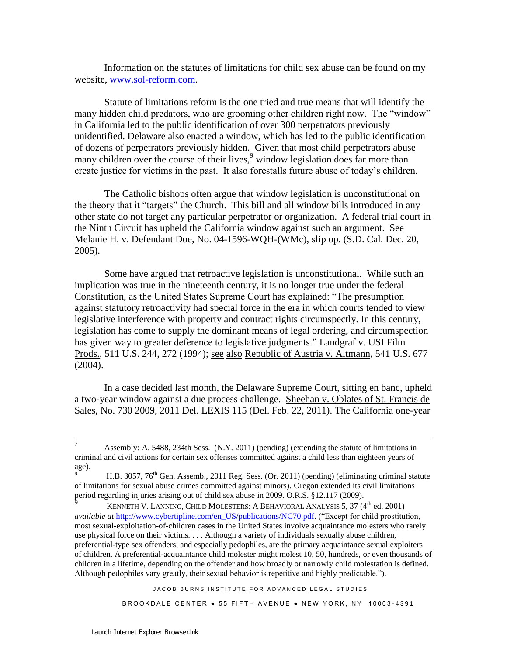Information on the statutes of limitations for child sex abuse can be found on my website, [www.sol-reform.com.](http://www.sol-reform.com/)

Statute of limitations reform is the one tried and true means that will identify the many hidden child predators, who are grooming other children right now. The "window" in California led to the public identification of over 300 perpetrators previously unidentified. Delaware also enacted a window, which has led to the public identification of dozens of perpetrators previously hidden. Given that most child perpetrators abuse many children over the course of their lives,<sup>9</sup> window legislation does far more than create justice for victims in the past. It also forestalls future abuse of today's children.

The Catholic bishops often argue that window legislation is unconstitutional on the theory that it "targets" the Church. This bill and all window bills introduced in any other state do not target any particular perpetrator or organization. A federal trial court in the Ninth Circuit has upheld the California window against such an argument. See Melanie H. v. Defendant Doe, No. 04-1596-WQH-(WMc), slip op. (S.D. Cal. Dec. 20, 2005).

Some have argued that retroactive legislation is unconstitutional. While such an implication was true in the nineteenth century, it is no longer true under the federal Constitution, as the United States Supreme Court has explained: "The presumption against statutory retroactivity had special force in the era in which courts tended to view legislative interference with property and contract rights circumspectly. In this century, legislation has come to supply the dominant means of legal ordering, and circumspection has given way to greater deference to legislative judgments." Landgraf v. USI Film Prods., 511 U.S. 244, 272 (1994); see also Republic of Austria v. Altmann, 541 U.S. 677  $(2004)$ .

In a case decided last month, the Delaware Supreme Court, sitting en banc, upheld a two-year window against a due process challenge. Sheehan v. Oblates of St. Francis de Sales, No. 730 2009, 2011 Del. LEXIS 115 (Del. Feb. 22, 2011). The California one-year

JACOB BURNS INSTITUTE FOR ADVANCED LEGAL STUDIES

BROOKDALE CENTER . 55 FIFTH AVENUE . NEW YORK, NY 10003-4391

<sup>-&</sup>lt;br>7 Assembly: A. 5488, 234th Sess. (N.Y. 2011) (pending) (extending the statute of limitations in criminal and civil actions for certain sex offenses committed against a child less than eighteen years of age).

H.B. 3057, 76<sup>th</sup> Gen. Assemb., 2011 Reg. Sess. (Or. 2011) (pending) (eliminating criminal statute of limitations for sexual abuse crimes committed against minors). Oregon extended its civil limitations period regarding injuries arising out of child sex abuse in 2009. O.R.S. §12.117 (2009).

KENNETH V. LANNING, CHILD MOLESTERS: A BEHAVIORAL ANALYSIS 5, 37 (4<sup>th</sup> ed. 2001) *available at* [http://www.cybertipline.com/en\\_US/publications/NC70.pdf.](http://www.cybertipline.com/en_US/publications/NC70.pdf) ("Except for child prostitution, most sexual-exploitation-of-children cases in the United States involve acquaintance molesters who rarely use physical force on their victims. . . . Although a variety of individuals sexually abuse children, preferential-type sex offenders, and especially pedophiles, are the primary acquaintance sexual exploiters of children. A preferential-acquaintance child molester might molest 10, 50, hundreds, or even thousands of children in a lifetime, depending on the offender and how broadly or narrowly child molestation is defined. Although pedophiles vary greatly, their sexual behavior is repetitive and highly predictable.").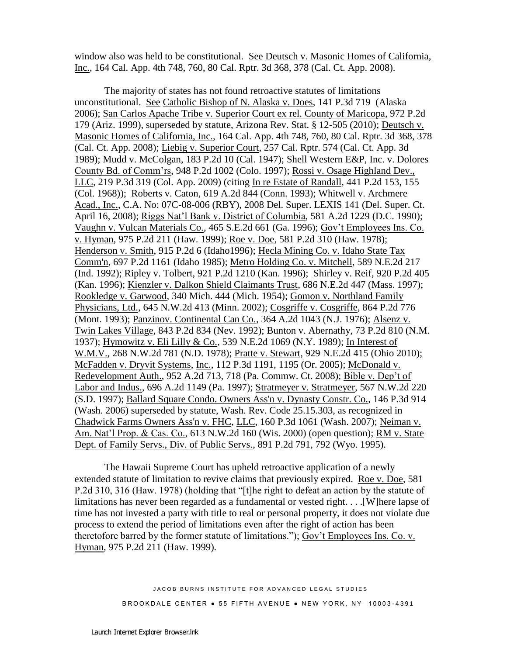window also was held to be constitutional. See Deutsch v. Masonic Homes of California, Inc., 164 Cal. App. 4th 748, 760, 80 Cal. Rptr. 3d 368, 378 (Cal. Ct. App. 2008).

The majority of states has not found retroactive statutes of limitations unconstitutional. See Catholic Bishop of N. Alaska v. Does, 141 P.3d 719 (Alaska 2006); San Carlos Apache Tribe v. Superior Court ex rel. County of Maricopa, 972 P.2d 179 (Ariz. 1999), superseded by statute, Arizona Rev. Stat. § 12-505 (2010); Deutsch v. Masonic Homes of California, Inc., 164 Cal. App. 4th 748, 760, 80 Cal. Rptr. 3d 368, 378 (Cal. Ct. App. 2008); Liebig v. Superior Court, 257 Cal. Rptr. 574 (Cal. Ct. App. 3d 1989); Mudd v. McColgan, 183 P.2d 10 (Cal. 1947); Shell Western E&P, Inc. v. Dolores County Bd. of Comm'rs, 948 P.2d 1002 (Colo. 1997); Rossi v. Osage Highland Dev., LLC, 219 P.3d 319 (Col. App. 2009) (citing In re Estate of Randall, 441 P.2d 153, 155 (Col. 1968)); Roberts v. Caton, 619 A.2d 844 (Conn. 1993); Whitwell v. Archmere Acad., Inc., C.A. No: 07C-08-006 (RBY), 2008 Del. Super. LEXIS 141 (Del. Super. Ct. April 16, 2008); Riggs Nat'l Bank v. District of Columbia, 581 A.2d 1229 (D.C. 1990); Vaughn v. Vulcan Materials Co., 465 S.E.2d 661 (Ga. 1996); Gov't Employees Ins. Co. v. Hyman, 975 P.2d 211 (Haw. 1999); Roe v. Doe, 581 P.2d 310 (Haw. 1978); Henderson v. Smith, 915 P.2d 6 (Idaho1996); Hecla Mining Co. v. Idaho State Tax Comm'n, 697 P.2d 1161 (Idaho 1985); Metro Holding Co. v. Mitchell, 589 N.E.2d 217 (Ind. 1992); Ripley v. Tolbert, 921 P.2d 1210 (Kan. 1996); Shirley v. Reif, 920 P.2d 405 (Kan. 1996); Kienzler v. Dalkon Shield Claimants Trust, 686 N.E.2d 447 (Mass. 1997); Rookledge v. Garwood, 340 Mich. 444 (Mich. 1954); Gomon v. Northland Family Physicians, Ltd., 645 N.W.2d 413 (Minn. 2002); Cosgriffe v. Cosgriffe, 864 P.2d 776 (Mont. 1993); Panzinov. Continental Can Co., 364 A.2d 1043 (N.J. 1976); Alsenz v. Twin Lakes Village, 843 P.2d 834 (Nev. 1992); Bunton v. Abernathy, 73 P.2d 810 (N.M. 1937); Hymowitz v. Eli Lilly & Co., 539 N.E.2d 1069 (N.Y. 1989); In Interest of W.M.V., 268 N.W.2d 781 (N.D. 1978); Pratte v. Stewart, 929 N.E.2d 415 (Ohio 2010); McFadden v. Dryvit Systems, Inc., 112 P.3d 1191, 1195 (Or. 2005); McDonald v. Redevelopment Auth., 952 A.2d 713, 718 (Pa. Commw. Ct. 2008); Bible v. Dep't of Labor and Indus., 696 A.2d 1149 (Pa. 1997); Stratmeyer v. Stratmeyer, 567 N.W.2d 220 (S.D. 1997); Ballard Square Condo. Owners Ass'n v. Dynasty Constr. Co., 146 P.3d 914 (Wash. 2006) superseded by statute, Wash. Rev. Code 25.15.303, as recognized in Chadwick Farms Owners Ass'n v. FHC, LLC, 160 P.3d 1061 (Wash. 2007); Neiman v. Am. Nat'l Prop. & Cas. Co., 613 N.W.2d 160 (Wis. 2000) (open question); RM v. State Dept. of Family Servs., Div. of Public Servs., 891 P.2d 791, 792 (Wyo. 1995).

The Hawaii Supreme Court has upheld retroactive application of a newly extended statute of limitation to revive claims that previously expired. Roe v. Doe, 581 P.2d 310, 316 (Haw. 1978) (holding that "[t]he right to defeat an action by the statute of limitations has never been regarded as a fundamental or vested right. . . .[W]here lapse of time has not invested a party with title to real or personal property, it does not violate due process to extend the period of limitations even after the right of action has been theretofore barred by the former statute of limitations."); Gov't Employees Ins. Co. v. Hyman, 975 P.2d 211 (Haw. 1999).

> JACOB BURNS INSTITUTE FOR ADVANCED LEGAL STUDIES BROOKDALE CENTER . 55 FIFTH AVENUE . NEW YORK, NY 10003-4391